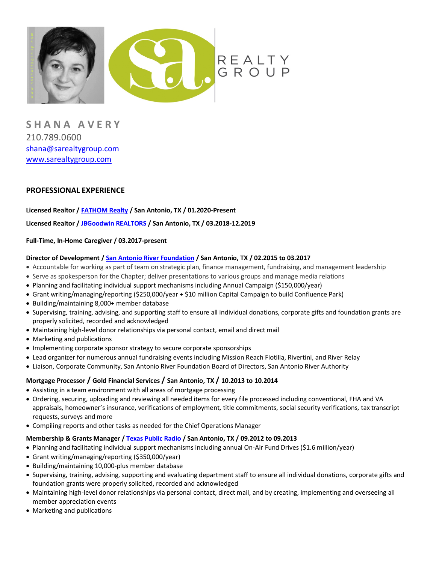

**S H A N A A V E R Y** 210.789.0600 shana@sarealtygroup.com www.sarealtygroup.com

# **PROFESSIONAL EXPERIENCE**

### **Licensed Realtor / FATHOM Realty / San Antonio, TX / 01.2020-Present**

### **Licensed Realtor / JBGoodwin REALTORS / San Antonio, TX / 03.2018-12.2019**

### **Full-Time, In-Home Caregiver / 03.2017-present**

#### **Director of Development / San Antonio River Foundation / San Antonio, TX / 02.2015 to 03.2017**

- Accountable for working as part of team on strategic plan, finance management, fundraising, and management leadership
- Serve as spokesperson for the Chapter; deliver presentations to various groups and manage media relations
- Planning and facilitating individual support mechanisms including Annual Campaign (\$150,000/year)
- Grant writing/managing/reporting (\$250,000/year + \$10 million Capital Campaign to build Confluence Park)
- Building/maintaining 8,000+ member database
- Supervising, training, advising, and supporting staff to ensure all individual donations, corporate gifts and foundation grants are properly solicited, recorded and acknowledged
- Maintaining high-level donor relationships via personal contact, email and direct mail
- Marketing and publications
- Implementing corporate sponsor strategy to secure corporate sponsorships
- Lead organizer for numerous annual fundraising events including Mission Reach Flotilla, Rivertini, and River Relay
- Liaison, Corporate Community, San Antonio River Foundation Board of Directors, San Antonio River Authority

### **Mortgage Processor / Gold Financial Services / San Antonio, TX / 10.2013 to 10.2014**

- Assisting in a team environment with all areas of mortgage processing
- Ordering, securing, uploading and reviewing all needed items for every file processed including conventional, FHA and VA appraisals, homeowner's insurance, verifications of employment, title commitments, social security verifications, tax transcript requests, surveys and more
- Compiling reports and other tasks as needed for the Chief Operations Manager

### **Membership & Grants Manager / Texas Public Radio / San Antonio, TX / 09.2012 to 09.2013**

- Planning and facilitating individual support mechanisms including annual On-Air Fund Drives (\$1.6 million/year)
- Grant writing/managing/reporting (\$350,000/year)
- Building/maintaining 10,000-plus member database
- Supervising, training, advising, supporting and evaluating department staff to ensure all individual donations, corporate gifts and foundation grants were properly solicited, recorded and acknowledged
- Maintaining high-level donor relationships via personal contact, direct mail, and by creating, implementing and overseeing all member appreciation events
- Marketing and publications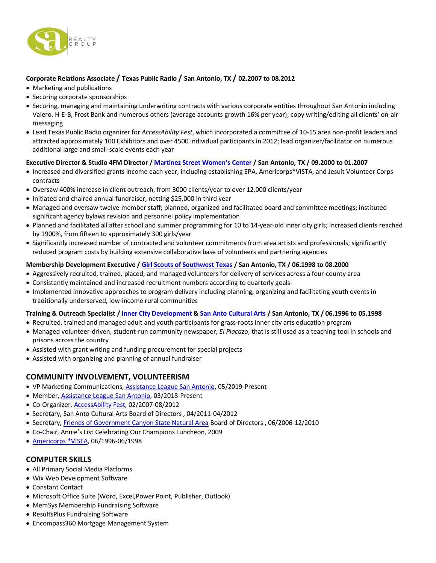

# **Corporate Relations Associate / Texas Public Radio / San Antonio, TX / 02.2007 to 08.2012**

- Marketing and publications
- Securing corporate sponsorships
- Securing, managing and maintaining underwriting contracts with various corporate entities throughout San Antonio including Valero, H-E-B, Frost Bank and numerous others (average accounts growth 16% per year); copy writing/editing all clients' on-air messaging
- Lead Texas Public Radio organizer for *AccessAbility Fest*, which incorporated a committee of 10-15 area non-profit leaders and attracted approximately 100 Exhibitors and over 4500 individual participants in 2012; lead organizer/facilitator on numerous additional large and small-scale events each year

## **Executive Director & Studio 4FM Director / Martinez Street Women's Center / San Antonio, TX / 09.2000 to 01.2007**

- Increased and diversified grants income each year, including establishing EPA, Americorps\*VISTA, and Jesuit Volunteer Corps contracts
- Oversaw 400% increase in client outreach, from 3000 clients/year to over 12,000 clients/year
- Initiated and chaired annual fundraiser, netting \$25,000 in third year
- Managed and oversaw twelve-member staff; planned, organized and facilitated board and committee meetings; instituted significant agency bylaws revision and personnel policy implementation
- Planned and facilitated all after school and summer programming for 10 to 14-year-old inner city girls; increased clients reached by 1900%, from fifteen to approximately 300 girls/year
- Significantly increased number of contracted and volunteer commitments from area artists and professionals; significantly reduced program costs by building extensive collaborative base of volunteers and partnering agencies

## **Membership Development Executive / Girl Scouts of Southwest Texas / San Antonio, TX / 06.1998 to 08.2000**

- Aggressively recruited, trained, placed, and managed volunteers for delivery of services across a four-county area
- Consistently maintained and increased recruitment numbers according to quarterly goals
- Implemented innovative approaches to program delivery including planning, organizing and facilitating youth events in traditionally underserved, low-income rural communities

## **Training & Outreach Specialist / Inner City Development & San Anto Cultural Arts / San Antonio, TX / 06.1996 to 05.1998**

- Recruited, trained and managed adult and youth participants for grass-roots inner city arts education program
- Managed volunteer-driven, student-run community newspaper, *El Placazo*, that is still used as a teaching tool in schools and prisons across the country
- Assisted with grant writing and funding procurement for special projects
- Assisted with organizing and planning of annual fundraiser

## **COMMUNITY INVOLVEMENT, VOLUNTEERISM**

- VP Marketing Communications, Assistance League San Antonio, 05/2019-Present
- Member, Assistance League San Antonio, 03/2018-Present
- Co-Organizer, AccessAbility Fest, 02/2007-08/2012
- Secretary, San Anto Cultural Arts Board of Directors , 04/2011-04/2012
- Secretary, Friends of Government Canyon State Natural Area Board of Directors , 06/2006-12/2010
- Co-Chair, Annie's List Celebrating Our Champions Luncheon, 2009
- Americorps \*VISTA, 06/1996-06/1998

## **COMPUTER SKILLS**

- All Primary Social Media Platforms
- Wix Web Development Software
- Constant Contact
- Microsoft Office Suite (Word, Excel,Power Point, Publisher, Outlook)
- MemSys Membership Fundraising Software
- ResultsPlus Fundraising Software
- Encompass360 Mortgage Management System